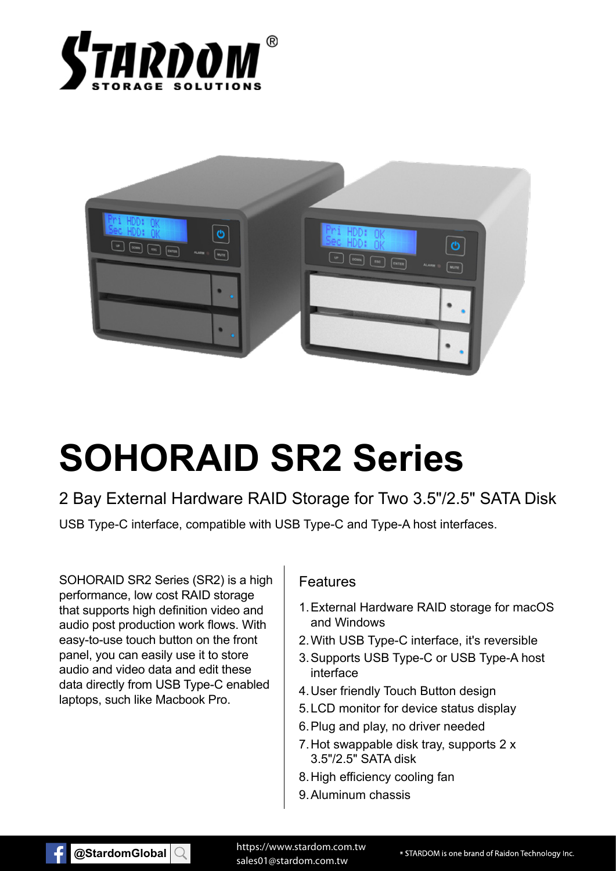



# **SOHORAID SR2 Series**

2 Bay External Hardware RAID Storage for Two 3.5"/2.5" SATA Disk

USB Type-C interface, compatible with USB Type-C and Type-A host interfaces.

SOHORAID SR2 Series (SR2) is a high performance, low cost RAID storage that supports high definition video and audio post production work flows. With easy-to-use touch button on the front panel, you can easily use it to store audio and video data and edit these data directly from USB Type-C enabled laptops, such like Macbook Pro.

#### Features

- 1. External Hardware RAID storage for macOS and Windows
- 2. With USB Type-C interface, it's reversible
- 3. Supports USB Type-C or USB Type-A host interface
- 4. User friendly Touch Button design
- 5. LCD monitor for device status display
- 6. Plug and play, no driver needed
- 7. Hot swappable disk tray, supports 2 x 3.5"/2.5" SATA disk
- 8. High efficiency cooling fan
- 9. Aluminum chassis



https://www.stardom.com.tw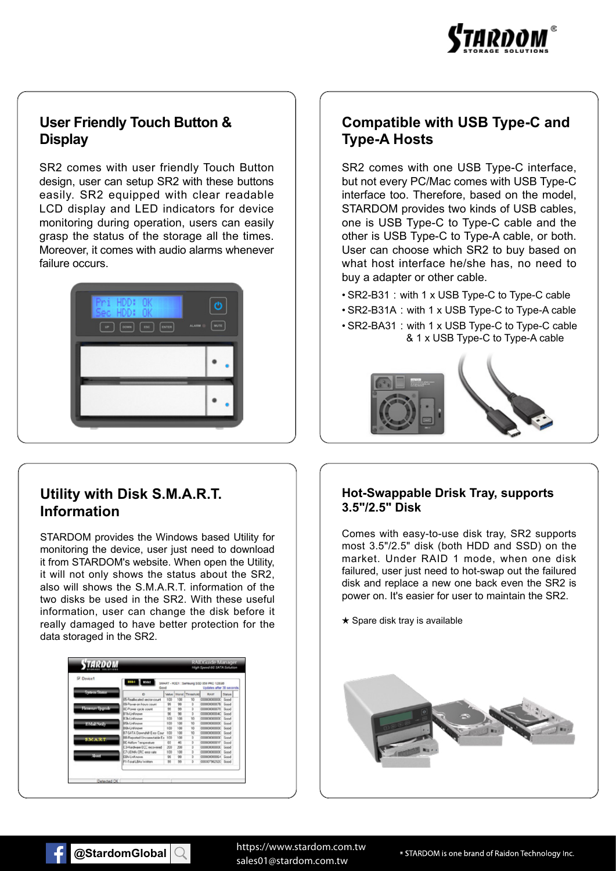

#### **User Friendly Touch Button & Display**

SR2 comes with user friendly Touch Button design, user can setup SR2 with these buttons easily. SR2 equipped with clear readable LCD display and LED indicators for device monitoring during operation, users can easily grasp the status of the storage all the times. Moreover, it comes with audio alarms whenever failure occurs.



### **Utility with Disk S.M.A.R.T. Information**

STARDOM provides the Windows based Utility for monitoring the device, user just need to download it from STARDOM's website. When open the Utility, it will not only shows the status about the SR2, also will shows the S.M.A.R.T. information of the two disks be used in the SR2. With these useful information, user can change the disk before it really damaged to have better protection for the data storaged in the SR2.

| D. Davice1          | 8301<br>1002<br>Good                |                             |           |                        | SMART - HOC1 : Samsung 55D 559 PRO 128GB<br>Undates after 35 seconds |             |
|---------------------|-------------------------------------|-----------------------------|-----------|------------------------|----------------------------------------------------------------------|-------------|
| <b>Sydem Status</b> | i5                                  | <b><i><u>MARINE</u></i></b> |           | <b>Worst Threshold</b> | RAW                                                                  | Status      |
|                     | 05-Realiscated sector court         | $100-$                      | 108       | 10                     | concenters:                                                          | <b>Good</b> |
|                     | OB-Pouver on Rours count            | 96                          | 99        |                        | 00000000025                                                          | <b>Good</b> |
| <b>Emvan Sport</b>  | <b>OC-Power cycle count</b>         | 56                          | $20 - 30$ |                        | 000000000078                                                         | <b>Band</b> |
|                     | <b>B1bLinKnoven</b>                 | 望                           | 98        |                        | 00000000040                                                          | <b>Bond</b> |
|                     | <b>R361 inKnown</b>                 | triti                       | 108       | tň                     | mononone                                                             | <b>Geod</b> |
| EMANGE              | <b>ESA Linknown</b>                 | 100                         | 108       | 10                     | 00000000000                                                          | Good        |
|                     | <b>BEALINFOOR</b>                   | 100                         | 100       | <b>IO</b>              | 000000000000                                                         | <b>Bond</b> |
|                     | R7-SAT4 Downship Earn Court         | 100                         | 108       | tō                     | concentent.                                                          | Send        |
| <b>SMART</b>        | <b>RR Pagested Unconectable Ex-</b> | 100                         | 108       |                        | concentrate                                                          | <b>Good</b> |
|                     | <b>DE Aidlow Temperature</b>        | C5                          | 46        |                        | 0000000001F                                                          | Good        |
|                     | C3Hardware ECC recovered            | 300                         | 200       |                        | 00000000000                                                          | Good        |
|                     | C7-UDMA CRC entr rate               | 100                         | 100       |                        | 00000000000                                                          | <b>Good</b> |
| <b>Nort</b>         | <b>EDULIVERINA</b>                  | $^{56}$                     | 99        |                        | 00000000064                                                          | Good        |
|                     | F1-T qual LBAs Written              | 55                          | 95        |                        | 000307562520                                                         | <b>Bood</b> |

### **Compatible with USB Type-C and Type-A Hosts**

SR2 comes with one USB Type-C interface, but not every PC/Mac comes with USB Type-C interface too. Therefore, based on the model, STARDOM provides two kinds of USB cables, one is USB Type-C to Type-C cable and the other is USB Type-C to Type-A cable, or both. User can choose which SR2 to buy based on what host interface he/she has, no need to buy a adapter or other cable.

- SR2-B31:with 1 x USB Type-C to Type-C cable
- SR2-B31A: with 1 x USB Type-C to Type-A cable
- SR2-BA31:with 1 x USB Type-C to Type-C cable & 1 x USB Type-C to Type-A cable



#### **Hot-Swappable Drisk Tray, supports 3.5"/2.5" Disk**

Comes with easy-to-use disk tray, SR2 supports most 3.5"/2.5" disk (both HDD and SSD) on the market. Under RAID 1 mode, when one disk failured, user just need to hot-swap out the failured disk and replace a new one back even the SR2 is power on. It's easier for user to maintain the SR2.

 $\star$  Spare disk tray is available